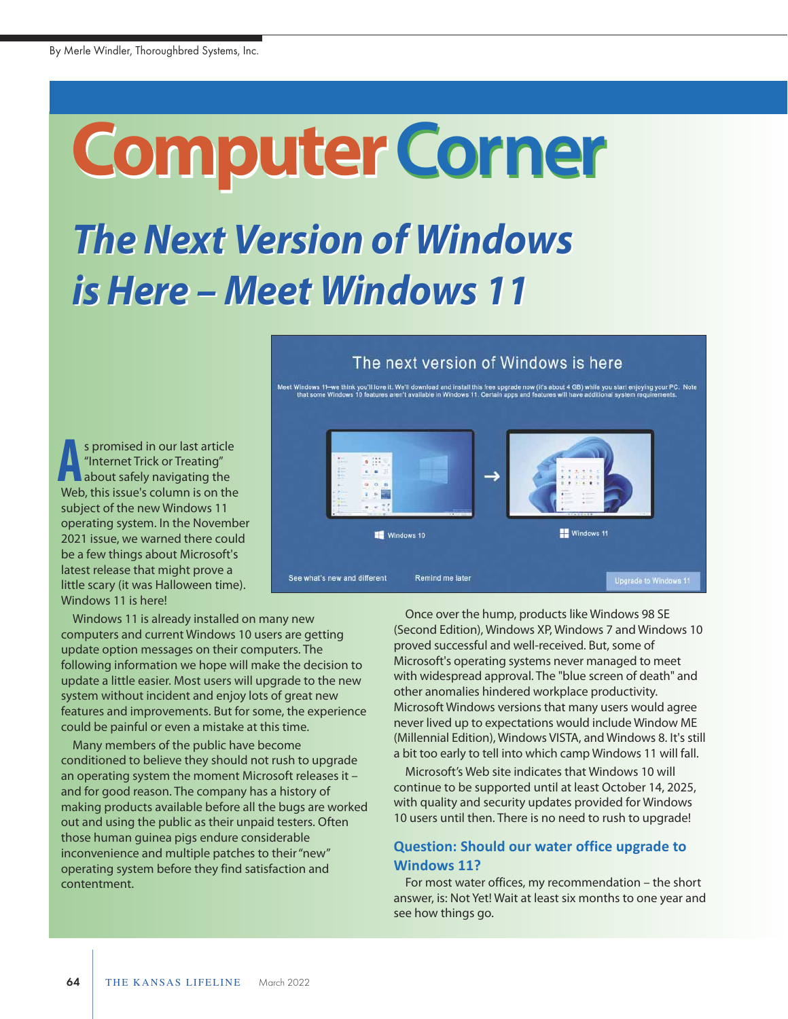# **Computer Computer****Corner**

# *The Next Version of Windows The Next Version of Windows is Here – Meet Windows 11 is Here – Meet Windows 11*

s promised in our last article "Internet Trick or Treating" about safely navigating the **A** s promised in our last article<br>
"Internet Trick or Treating"<br>
about safely navigating the<br>
Web, this issue's column is on the subject of the new Windows 11 operating system. In the November 2021 issue, we warned there could be a few things about Microsoft's latest release that might prove a little scary (it was Halloween time). Windows 11 is here!

Windows 11 is already installed on many new computers and current Windows 10 users are getting update option messages on their computers. The following information we hope will make the decision to update a little easier. Most users will upgrade to the new system without incident and enjoy lots of great new features and improvements. But for some, the experience could be painful or even a mistake at this time.

Many members of the public have become conditioned to believe they should not rush to upgrade an operating system the moment Microsoft releases it – and for good reason. The company has a history of making products available before all the bugs are worked out and using the public as their unpaid testers. Often those human guinea pigs endure considerable inconvenience and multiple patches to their "new" operating system before they find satisfaction and contentment.

#### The next version of Windows is here

ws 11–we think you'll love it. We'll download and install this free upgrade now (it's about 4 GB) while you start enjoying your PC.<br>ome Windows 10 features aren't available in Windows 11. Certain anns and features will hav



Once over the hump, products like Windows 98 SE (Second Edition), Windows XP, Windows 7 and Windows 10 proved successful and well-received. But, some of Microsoft's operating systems never managed to meet with widespread approval. The "blue screen of death" and other anomalies hindered workplace productivity. Microsoft Windows versions that many users would agree never lived up to expectations would include Window ME (Millennial Edition), Windows VISTA, and Windows 8. It's still a bit too early to tell into which camp Windows 11 will fall.

Microsoft's Web site indicates that Windows 10 will continue to be supported until at least October 14, 2025, with quality and security updates provided for Windows 10 users until then. There is no need to rush to upgrade!

#### **Question: Should our water office upgrade to Windows 11?**

For most water offices, my recommendation – the short answer, is: Not Yet! Wait at least six months to one year and see how things go.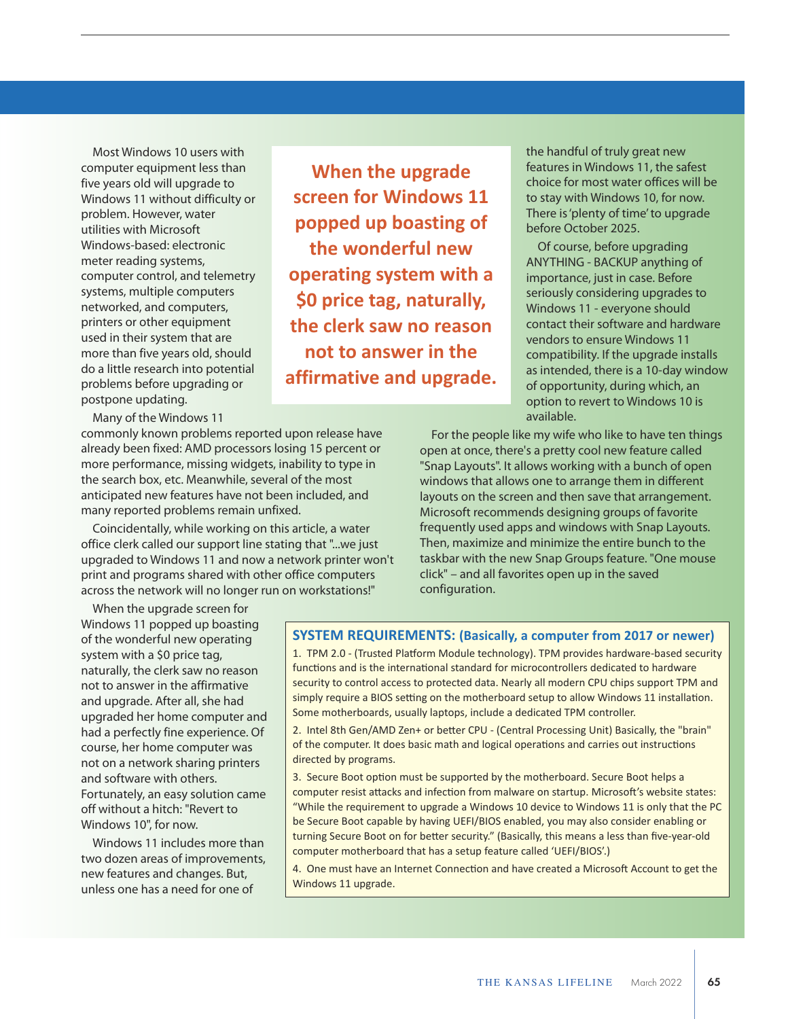Most Windows 10 users with computer equipment less than five years old will upgrade to Windows 11 without difficulty or problem. However, water utilities with Microsoft Windows-based: electronic meter reading systems, computer control, and telemetry systems, multiple computers networked, and computers, printers or other equipment used in their system that are more than five years old, should do a little research into potential problems before upgrading or postpone updating.

Many of the Windows 11

commonly known problems reported upon release have already been fixed: AMD processors losing 15 percent or more performance, missing widgets, inability to type in the search box, etc. Meanwhile, several of the most anticipated new features have not been included, and many reported problems remain unfixed.

Coincidentally, while working on this article, a water office clerk called our support line stating that "...we just upgraded to Windows 11 and now a network printer won't print and programs shared with other office computers across the network will no longer run on workstations!"

When the upgrade screen for Windows 11 popped up boasting of the wonderful new operating system with a \$0 price tag, naturally, the clerk saw no reason not to answer in the affirmative and upgrade. After all, she had upgraded her home computer and had a perfectly fine experience. Of course, her home computer was not on a network sharing printers and software with others. Fortunately, an easy solution came off without a hitch: "Revert to Windows 10", for now.

Windows 11 includes more than two dozen areas of improvements, new features and changes. But, unless one has a need for one of

**When the upgrade screen for Windows 11 popped up boasting of the wonderful new operating system with a \$0 price tag, naturally, the clerk saw no reason not to answer in the affirmative and upgrade.**  the handful of truly great new features in Windows 11, the safest choice for most water offices will be to stay with Windows 10, for now. There is 'plenty of time' to upgrade before October 2025.

Of course, before upgrading ANYTHING - BACKUP anything of importance, just in case. Before seriously considering upgrades to Windows 11 - everyone should contact their software and hardware vendors to ensure Windows 11 compatibility. If the upgrade installs as intended, there is a 10-day window of opportunity, during which, an option to revert to Windows 10 is available.

For the people like my wife who like to have ten things open at once, there's a pretty cool new feature called "Snap Layouts". It allows working with a bunch of open windows that allows one to arrange them in different layouts on the screen and then save that arrangement. Microsoft recommends designing groups of favorite frequently used apps and windows with Snap Layouts. Then, maximize and minimize the entire bunch to the taskbar with the new Snap Groups feature. "One mouse click" – and all favorites open up in the saved configuration.

#### **SYSTEM REQUIREMENTS: (Basically, a computer from 2017 or newer)**

1. TPM 2.0 - (Trusted Platform Module technology). TPM provides hardware-based security functions and is the international standard for microcontrollers dedicated to hardware security to control access to protected data. Nearly all modern CPU chips support TPM and simply require a BIOS setting on the motherboard setup to allow Windows 11 installation. Some motherboards, usually laptops, include a dedicated TPM controller.

2. Intel 8th Gen/AMD Zen+ or better CPU - (Central Processing Unit) Basically, the "brain" of the computer. It does basic math and logical operations and carries out instructions directed by programs.

3. Secure Boot option must be supported by the motherboard. Secure Boot helps a computer resist attacks and infection from malware on startup. Microsoft's website states: "While the requirement to upgrade a Windows 10 device to Windows 11 is only that the PC be Secure Boot capable by having UEFI/BIOS enabled, you may also consider enabling or turning Secure Boot on for better security." (Basically, this means a less than five-year-old computer motherboard that has a setup feature called 'UEFI/BIOS'.)

4. One must have an Internet Connection and have created a Microsoft Account to get the Windows 11 upgrade.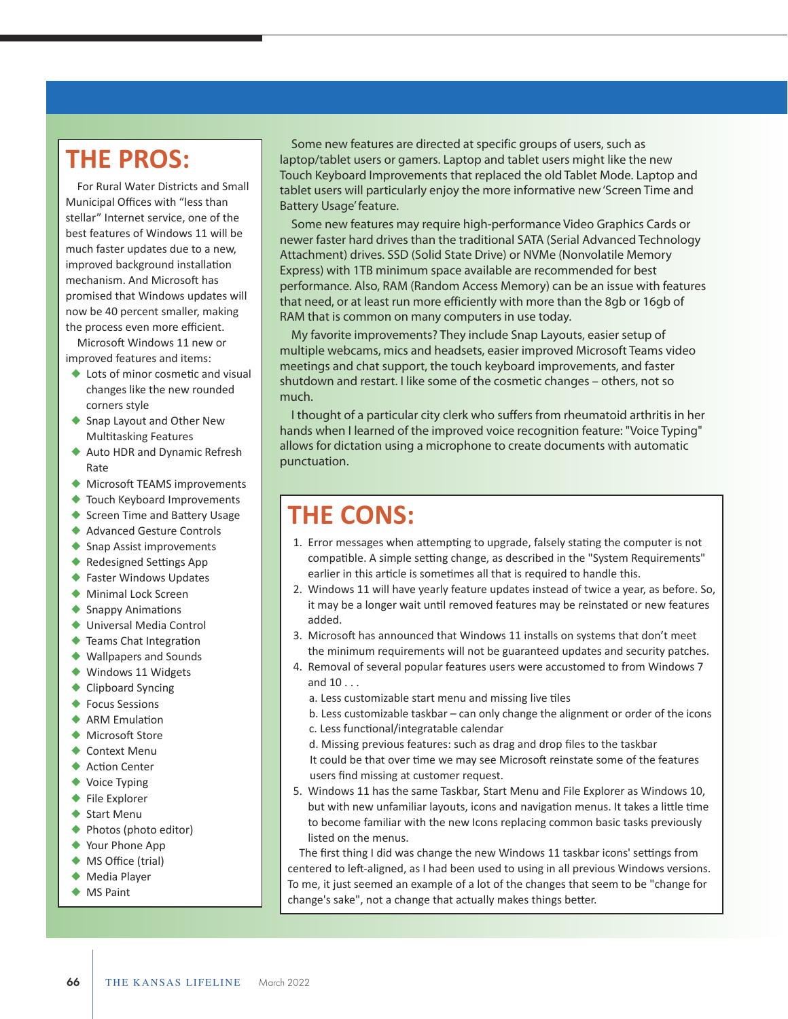### **THE PROS:**

For Rural Water Districts and Small Municipal Offices with "less than stellar" Internet service, one of the best features of Windows 11 will be much faster updates due to a new, improved background installation mechanism. And Microsoft has promised that Windows updates will now be 40 percent smaller, making the process even more efficient.

Microsoft Windows 11 new or improved features and items:

- $\blacklozenge$  Lots of minor cosmetic and visual changes like the new rounded corners style
- ◆ Snap Layout and Other New Multitasking Features
- ◆ Auto HDR and Dynamic Refresh Rate
- $\blacklozenge$  Microsoft TEAMS improvements
- $\blacklozenge$  Touch Keyboard Improvements
- ◆ Screen Time and Battery Usage
- ◆ Advanced Gesture Controls
- $\blacklozenge$  Snap Assist improvements
- $\triangle$  Redesigned Settings App
- ◆ Faster Windows Updates ◆ Minimal Lock Screen
- $\blacklozenge$  Snappy Animations
- ◆ Universal Media Control
- $\blacklozenge$  Teams Chat Integration
- ◆ Wallpapers and Sounds
- $\blacklozenge$  Windows 11 Widgets
- $\triangle$  Clipboard Syncing
- $\triangle$  Focus Sessions
- $\triangle$  ARM Emulation
- ◆ Microsoft Store
- $\triangle$  Context Menu
- $\triangle$  Action Center
- $\blacklozenge$  Voice Typing
- $\blacklozenge$  File Explorer
- $\blacklozenge$  Start Menu
- $\blacklozenge$  Photos (photo editor)
- $\blacklozenge$  Your Phone App
- ◆ MS Office (trial)
- $\blacklozenge$  Media Player
- $\blacklozenge$  MS Paint

Some new features are directed at specific groups of users, such as laptop/tablet users or gamers. Laptop and tablet users might like the new Touch Keyboard Improvements that replaced the old Tablet Mode. Laptop and tablet users will particularly enjoy the more informative new 'Screen Time and Battery Usage' feature.

Some new features may require high-performance Video Graphics Cards or newer faster hard drives than the traditional SATA (Serial Advanced Technology Attachment) drives. SSD (Solid State Drive) or NVMe (Nonvolatile Memory Express) with 1TB minimum space available are recommended for best performance. Also, RAM (Random Access Memory) can be an issue with features that need, or at least run more efficiently with more than the 8gb or 16gb of RAM that is common on many computers in use today.

My favorite improvements? They include Snap Layouts, easier setup of multiple webcams, mics and headsets, easier improved Microsoft Teams video meetings and chat support, the touch keyboard improvements, and faster shutdown and restart. I like some of the cosmetic changes – others, not so much.

I thought of a particular city clerk who suffers from rheumatoid arthritis in her hands when I learned of the improved voice recognition feature: "Voice Typing" allows for dictation using a microphone to create documents with automatic punctuation.

## **THE CONS:**

- 1. Error messages when attempting to upgrade, falsely stating the computer is not compatible. A simple setting change, as described in the "System Requirements" earlier in this article is sometimes all that is required to handle this.
- 2. Windows 11 will have yearly feature updates instead of twice a year, as before. So, it may be a longer wait until removed features may be reinstated or new features added.
- 3. Microsoft has announced that Windows 11 installs on systems that don't meet the minimum requirements will not be guaranteed updates and security patches.
- 4. Removal of several popular features users were accustomed to from Windows 7 and 10 . . .
	- a. Less customizable start menu and missing live tiles
	- b. Less customizable taskbar can only change the alignment or order of the icons
	- c. Less functional/integratable calendar
	- d. Missing previous features: such as drag and drop files to the taskbar
	- It could be that over time we may see Microsoft reinstate some of the features users find missing at customer request.
- 5. Windows 11 has the same Taskbar, Start Menu and File Explorer as Windows 10, but with new unfamiliar layouts, icons and navigation menus. It takes a little time to become familiar with the new Icons replacing common basic tasks previously listed on the menus.

The first thing I did was change the new Windows 11 taskbar icons' settings from centered to left-aligned, as I had been used to using in all previous Windows versions. To me, it just seemed an example of a lot of the changes that seem to be "change for change's sake", not a change that actually makes things better.